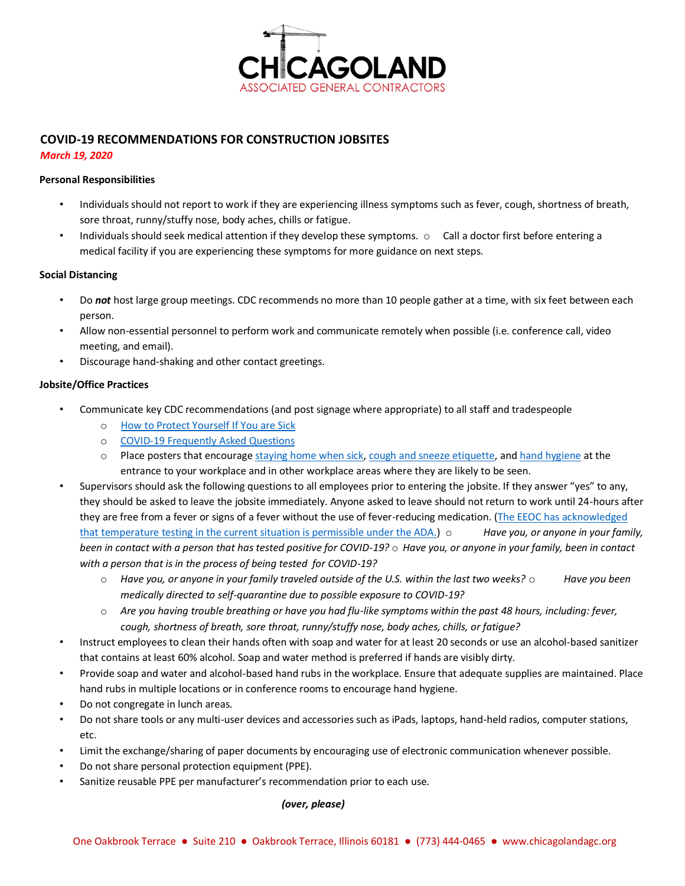

# **COVID-19 RECOMMENDATIONS FOR CONSTRUCTION JOBSITES**

### *March 19, 2020*

### **Personal Responsibilities**

- Individuals should not report to work if they are experiencing illness symptoms such as fever, cough, shortness of breath, sore throat, runny/stuffy nose, body aches, chills or fatigue.
- Individuals should seek medical attention if they develop these symptoms.  $\circ$  Call a doctor first before entering a medical facility if you are experiencing these symptoms for more guidance on next steps.

### **Social Distancing**

- Do *not* host large group meetings. CDC recommends no more than 10 people gather at a time, with six feet between each person.
- Allow non-essential personnel to perform work and communicate remotely when possible (i.e. conference call, video meeting, and email).
- Discourage hand-shaking and other contact greetings.

## **Jobsite/Office Practices**

- Communicate key CDC recommendations (and post signage where appropriate) to all staff and tradespeople
	- o [How to Protect Yourself](https://www.cdc.gov/coronavirus/2019-ncov/prepare/prevention.html) [If You are Sick](https://www.cdc.gov/coronavirus/2019-ncov/if-you-are-sick/index.html)
	- o [COVID-19 Frequently Asked Questions](https://www.cdc.gov/coronavirus/2019-ncov/faq.html)
	- o Place posters that encoura[ge staying home when sick,](https://www.cdc.gov/nonpharmaceutical-interventions/tools-resources/educational-materials.html) [cough and sneeze etiquette,](https://www.cdc.gov/healthywater/hygiene/etiquette/coughing_sneezing.html) an[d hand hygiene](https://www.cdc.gov/handwashing/materials.html) at the entrance to your workplace and in other workplace areas where they are likely to be seen.
- Supervisors should ask the following questions to all employees prior to entering the jobsite. If they answer "yes" to any, they should be asked to leave the jobsite immediately. Anyone asked to leave should not return to work until 24-hours after they are free from a fever or signs of a fever without the use of fever-reducing medication. [\(The EEOC has acknowledged](https://www1.eeoc.gov/eeoc/newsroom/wysk/wysk_ada_rehabilitaion_act_coronavirus.cfm?renderforprint=1) [that temperature testing in the current situation is permissible under the ADA.\)](https://www1.eeoc.gov/eeoc/newsroom/wysk/wysk_ada_rehabilitaion_act_coronavirus.cfm?renderforprint=1) o *Have you, or anyone in your family, been in contact with a person that has tested positive for COVID-19?* o *Have you, or anyone in your family, been in contact with a person that is in the process of being tested for COVID-19?* 
	- o *Have you, or anyone in your family traveled outside of the U.S. within the last two weeks?* o *Have you been medically directed to self-quarantine due to possible exposure to COVID-19?*
	- o *Are you having trouble breathing or have you had flu-like symptoms within the past 48 hours, including: fever, cough, shortness of breath, sore throat, runny/stuffy nose, body aches, chills, or fatigue?*
- Instruct employees to clean their hands often with soap and water for at least 20 seconds or use an alcohol-based sanitizer that contains at least 60% alcohol. Soap and water method is preferred if hands are visibly dirty.
- Provide soap and water and alcohol-based hand rubs in the workplace. Ensure that adequate supplies are maintained. Place hand rubs in multiple locations or in conference rooms to encourage hand hygiene.
- Do not congregate in lunch areas.
- Do not share tools or any multi-user devices and accessories such as iPads, laptops, hand-held radios, computer stations, etc.
- Limit the exchange/sharing of paper documents by encouraging use of electronic communication whenever possible.
- Do not share personal protection equipment (PPE).
- Sanitize reusable PPE per manufacturer's recommendation prior to each use.

#### *(over, please)*